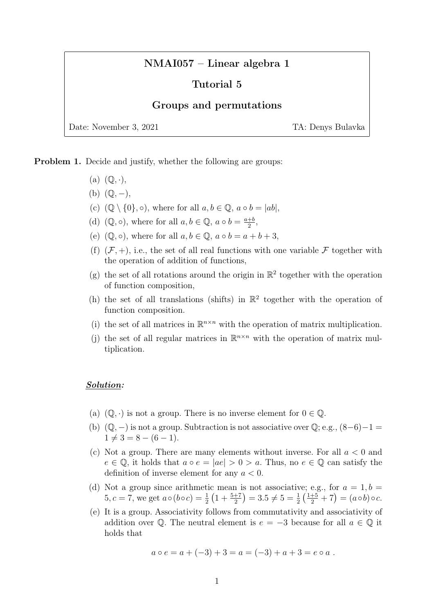# NMAI057 – Linear algebra 1

## Tutorial 5

### Groups and permutations

Date: November 3, 2021 TA: Denys Bulavka

Problem 1. Decide and justify, whether the following are groups:

- (a)  $(\mathbb{Q}, \cdot),$
- $(b)$   $(\mathbb{Q}, -),$
- (c)  $(\mathbb{Q} \setminus \{0\}, \circ)$ , where for all  $a, b \in \mathbb{Q}$ ,  $a \circ b = |ab|$ ,
- (d)  $(\mathbb{Q}, \circ)$ , where for all  $a, b \in \mathbb{Q}$ ,  $a \circ b = \frac{a+b}{2}$  $\frac{+b}{2}$ ,
- (e)  $(\mathbb{Q}, \circ)$ , where for all  $a, b \in \mathbb{Q}$ ,  $a \circ b = a + b + 3$ ,
- (f)  $(F, +)$ , i.e., the set of all real functions with one variable F together with the operation of addition of functions,
- (g) the set of all rotations around the origin in  $\mathbb{R}^2$  together with the operation of function composition,
- (h) the set of all translations (shifts) in  $\mathbb{R}^2$  together with the operation of function composition.
- (i) the set of all matrices in  $\mathbb{R}^{n \times n}$  with the operation of matrix multiplication.
- (j) the set of all regular matrices in  $\mathbb{R}^{n \times n}$  with the operation of matrix multiplication.

#### Solution:

- (a)  $(\mathbb{Q}, \cdot)$  is not a group. There is no inverse element for  $0 \in \mathbb{Q}$ .
- (b)  $(\mathbb{Q}, -)$  is not a group. Subtraction is not associative over  $\mathbb{Q}$ ; e.g.,  $(8-6)-1=$  $1 \neq 3 = 8 - (6 - 1).$
- (c) Not a group. There are many elements without inverse. For all  $a < 0$  and  $e \in \mathbb{Q}$ , it holds that  $a \circ e = |ae| > 0 > a$ . Thus, no  $e \in \mathbb{Q}$  can satisfy the definition of inverse element for any  $a < 0$ .
- (d) Not a group since arithmetic mean is not associative; e.g., for  $a = 1, b =$ 5, c = 7, we get  $a \circ (b \circ c) = \frac{1}{2} \left( 1 + \frac{5+7}{2} \right) = 3.5 \neq 5 = \frac{1}{2} \left( \frac{1+5}{2} + 7 \right) = (a \circ b) \circ c$ .
- (e) It is a group. Associativity follows from commutativity and associativity of addition over  $\mathbb Q$ . The neutral element is  $e = -3$  because for all  $a \in \mathbb Q$  it holds that

$$
a \circ e = a + (-3) + 3 = a = (-3) + a + 3 = e \circ a.
$$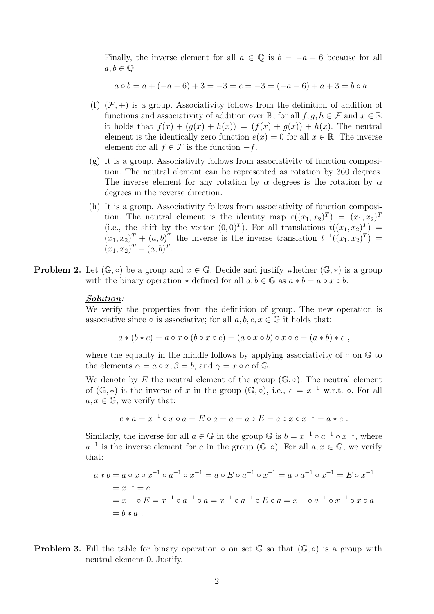Finally, the inverse element for all  $a \in \mathbb{Q}$  is  $b = -a - 6$  because for all  $a, b \in \mathbb{Q}$ 

$$
a \circ b = a + (-a - 6) + 3 = -3 = e = -3 = (-a - 6) + a + 3 = b \circ a.
$$

- (f)  $(F, +)$  is a group. Associativity follows from the definition of addition of functions and associativity of addition over  $\mathbb{R}$ ; for all  $f, g, h \in \mathcal{F}$  and  $x \in \mathbb{R}$ it holds that  $f(x) + (q(x) + h(x)) = (f(x) + q(x)) + h(x)$ . The neutral element is the identically zero function  $e(x) = 0$  for all  $x \in \mathbb{R}$ . The inverse element for all  $f \in \mathcal{F}$  is the function  $-f$ .
- (g) It is a group. Associativity follows from associativity of function composition. The neutral element can be represented as rotation by 360 degrees. The inverse element for any rotation by  $\alpha$  degrees is the rotation by  $\alpha$ degrees in the reverse direction.
- (h) It is a group. Associativity follows from associativity of function composition. The neutral element is the identity map  $e((x_1, x_2)^T) = (x_1, x_2)^T$ (i.e., the shift by the vector  $(0,0)^T$ ). For all translations  $t((x_1, x_2)^T) =$  $(x_1, x_2)^T + (a, b)^T$  the inverse is the inverse translation  $t^{-1}((x_1, x_2)^T) =$  $(x_1, x_2)^T - (a, b)^T$ .
- **Problem 2.** Let  $(\mathbb{G}, \circ)$  be a group and  $x \in \mathbb{G}$ . Decide and justify whether  $(\mathbb{G}, *)$  is a group with the binary operation  $*$  defined for all  $a, b \in \mathbb{G}$  as  $a * b = a \circ x \circ b$ .

#### Solution:

We verify the properties from the definition of group. The new operation is associative since  $\circ$  is associative; for all  $a, b, c, x \in \mathbb{G}$  it holds that:

$$
a * (b * c) = a \circ x \circ (b \circ x \circ c) = (a \circ x \circ b) \circ x \circ c = (a * b) * c,
$$

where the equality in the middle follows by applying associativity of  $\circ$  on  $\mathbb{G}$  to the elements  $\alpha = a \circ x, \beta = b$ , and  $\gamma = x \circ c$  of G.

We denote by E the neutral element of the group  $(\mathbb{G}, \circ)$ . The neutral element of  $(\mathbb{G}, *)$  is the inverse of x in the group  $(\mathbb{G}, \circ),$  i.e.,  $e = x^{-1}$  w.r.t.  $\circ$ . For all  $a, x \in \mathbb{G}$ , we verify that:

$$
e * a = x^{-1} \circ x \circ a = E \circ a = a = a \circ E = a \circ x \circ x^{-1} = a * e
$$
.

Similarly, the inverse for all  $a \in \mathbb{G}$  in the group  $\mathbb{G}$  is  $b = x^{-1} \circ a^{-1} \circ x^{-1}$ , where  $a^{-1}$  is the inverse element for a in the group  $(\mathbb{G}, \circ)$ . For all  $a, x \in \mathbb{G}$ , we verify that:

$$
a * b = a \circ x \circ x^{-1} \circ a^{-1} \circ x^{-1} = a \circ E \circ a^{-1} \circ x^{-1} = a \circ a^{-1} \circ x^{-1} = E \circ x^{-1}
$$
  
=  $x^{-1} = e$   
=  $x^{-1} \circ E = x^{-1} \circ a^{-1} \circ a = x^{-1} \circ a^{-1} \circ E \circ a = x^{-1} \circ a^{-1} \circ x^{-1} \circ x \circ a$   
=  $b * a$ .

**Problem 3.** Fill the table for binary operation  $\circ$  on set  $\mathbb{G}$  so that  $(\mathbb{G}, \circ)$  is a group with neutral element 0. Justify.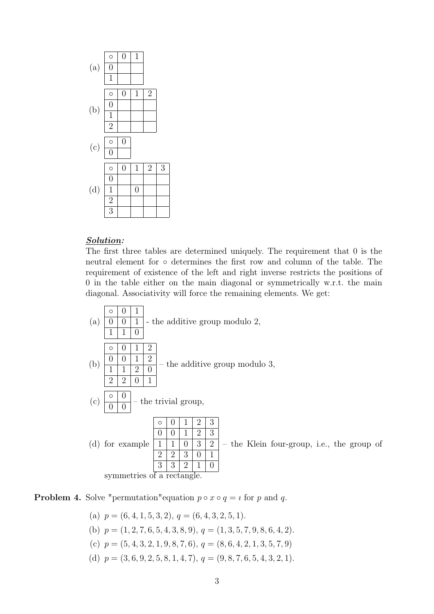

## Solution:

The first three tables are determined uniquely. The requirement that 0 is the neutral element for ◦ determines the first row and column of the table. The requirement of existence of the left and right inverse restricts the positions of 0 in the table either on the main diagonal or symmetrically w.r.t. the main diagonal. Associativity will force the remaining elements. We get:



**Problem 4.** Solve "permutation" equation  $p \circ x \circ q = i$  for p and q.

- (a)  $p = (6, 4, 1, 5, 3, 2), q = (6, 4, 3, 2, 5, 1).$
- (b)  $p = (1, 2, 7, 6, 5, 4, 3, 8, 9), q = (1, 3, 5, 7, 9, 8, 6, 4, 2).$
- (c)  $p = (5, 4, 3, 2, 1, 9, 8, 7, 6), q = (8, 6, 4, 2, 1, 3, 5, 7, 9)$
- (d)  $p = (3, 6, 9, 2, 5, 8, 1, 4, 7), q = (9, 8, 7, 6, 5, 4, 3, 2, 1).$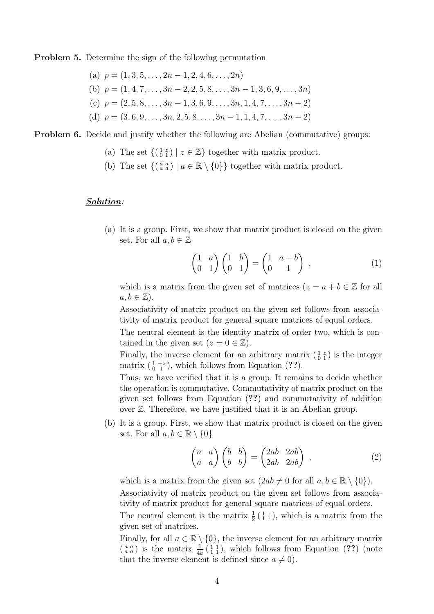Problem 5. Determine the sign of the following permutation

\n- (a) 
$$
p = (1, 3, 5, \ldots, 2n - 1, 2, 4, 6, \ldots, 2n)
$$
\n- (b)  $p = (1, 4, 7, \ldots, 3n - 2, 2, 5, 8, \ldots, 3n - 1, 3, 6, 9, \ldots, 3n)$
\n- (c)  $p = (2, 5, 8, \ldots, 3n - 1, 3, 6, 9, \ldots, 3n, 1, 4, 7, \ldots, 3n - 2)$
\n- (d)  $p = (3, 6, 9, \ldots, 3n, 2, 5, 8, \ldots, 3n - 1, 1, 4, 7, \ldots, 3n - 2)$
\n

Problem 6. Decide and justify whether the following are Abelian (commutative) groups:

- (a) The set  $\{(\begin{smallmatrix} 1 & z \\ 0 & 1 \end{smallmatrix}) \mid z \in \mathbb{Z}\}$  together with matrix product.
- (b) The set  $\{(\begin{smallmatrix} a & a \\ a & a \end{smallmatrix}) \mid a \in \mathbb{R} \setminus \{0\}\}\)$  together with matrix product.

#### Solution:

(a) It is a group. First, we show that matrix product is closed on the given set. For all  $a, b \in \mathbb{Z}$ 

$$
\begin{pmatrix} 1 & a \\ 0 & 1 \end{pmatrix} \begin{pmatrix} 1 & b \\ 0 & 1 \end{pmatrix} = \begin{pmatrix} 1 & a+b \\ 0 & 1 \end{pmatrix} , \qquad (1)
$$

which is a matrix from the given set of matrices  $(z = a + b \in \mathbb{Z}$  for all  $a, b \in \mathbb{Z}$ ).

Associativity of matrix product on the given set follows from associativity of matrix product for general square matrices of equal orders.

The neutral element is the identity matrix of order two, which is contained in the given set  $(z = 0 \in \mathbb{Z})$ .

Finally, the inverse element for an arbitrary matrix  $\begin{pmatrix} 1 & z \\ 0 & 1 \end{pmatrix}$  is the integer matrix  $\left(\begin{smallmatrix} 1 & -z \\ 0 & 1 \end{smallmatrix}\right)$ , which follows from Equation (??).

Thus, we have verified that it is a group. It remains to decide whether the operation is commutative. Commutativity of matrix product on the given set follows from Equation (??) and commutativity of addition over Z. Therefore, we have justified that it is an Abelian group.

(b) It is a group. First, we show that matrix product is closed on the given set. For all  $a, b \in \mathbb{R} \setminus \{0\}$ 

$$
\begin{pmatrix} a & a \\ a & a \end{pmatrix} \begin{pmatrix} b & b \\ b & b \end{pmatrix} = \begin{pmatrix} 2ab & 2ab \\ 2ab & 2ab \end{pmatrix} , \qquad (2)
$$

which is a matrix from the given set  $(2ab \neq 0$  for all  $a, b \in \mathbb{R} \setminus \{0\})$ . Associativity of matrix product on the given set follows from associativity of matrix product for general square matrices of equal orders.

The neutral element is the matrix  $\frac{1}{2}$  ( $\frac{1}{1}$ ), which is a matrix from the given set of matrices.

Finally, for all  $a \in \mathbb{R} \setminus \{0\}$ , the inverse element for an arbitrary matrix  $\binom{a}{a}$  is the matrix  $\frac{1}{4a}$   $\binom{1}{1}$ , which follows from Equation (??) (note that the inverse element is defined since  $a \neq 0$ ).